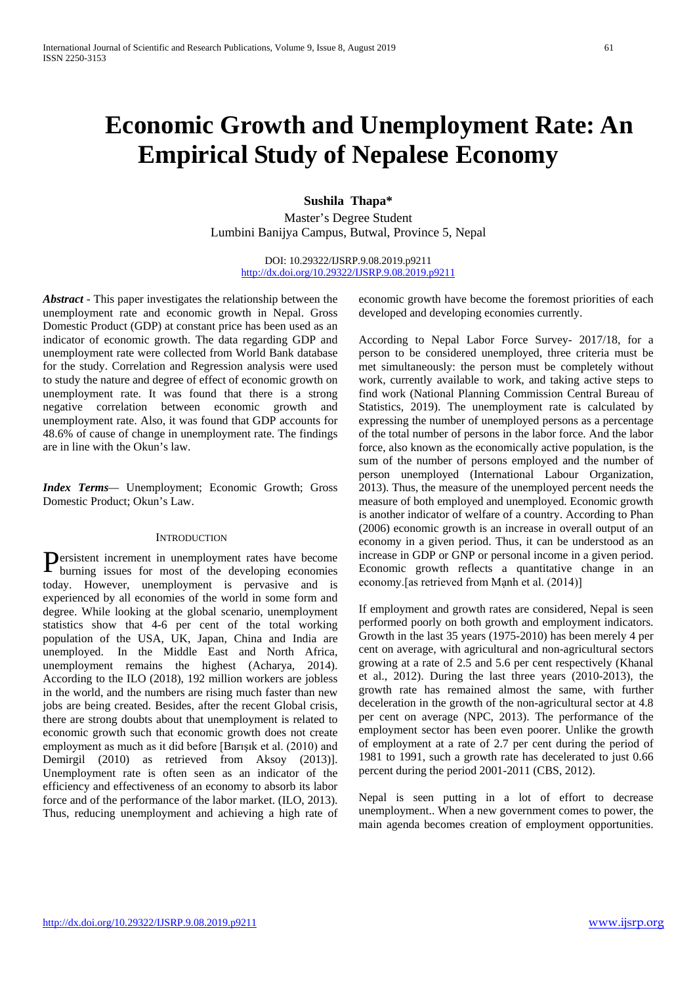# **Economic Growth and Unemployment Rate: An Empirical Study of Nepalese Economy**

# **Sushila Thapa\***

Master's Degree Student Lumbini Banijya Campus, Butwal, Province 5, Nepal

> DOI: 10.29322/IJSRP.9.08.2019.p9211 <http://dx.doi.org/10.29322/IJSRP.9.08.2019.p9211>

*Abstract* - This paper investigates the relationship between the unemployment rate and economic growth in Nepal. Gross Domestic Product (GDP) at constant price has been used as an indicator of economic growth. The data regarding GDP and unemployment rate were collected from World Bank database for the study. Correlation and Regression analysis were used to study the nature and degree of effect of economic growth on unemployment rate. It was found that there is a strong negative correlation between economic growth and unemployment rate. Also, it was found that GDP accounts for 48.6% of cause of change in unemployment rate. The findings are in line with the Okun's law.

*Index Terms—* Unemployment; Economic Growth; Gross Domestic Product; Okun's Law.

## **INTRODUCTION**

ersistent increment in unemployment rates have become Persistent increment in unemployment rates have become burning issues for most of the developing economies today. However, unemployment is pervasive and is experienced by all economies of the world in some form and degree. While looking at the global scenario, unemployment statistics show that 4-6 per cent of the total working population of the USA, UK, Japan, China and India are unemployed. In the Middle East and North Africa, unemployment remains the highest (Acharya, 2014). According to the ILO (2018), 192 million workers are jobless in the world, and the numbers are rising much faster than new jobs are being created. Besides, after the recent Global crisis, there are strong doubts about that unemployment is related to economic growth such that economic growth does not create employment as much as it did before [Barışık et al. (2010) and Demirgil (2010) as retrieved from Aksoy (2013)]. Unemployment rate is often seen as an indicator of the efficiency and effectiveness of an economy to absorb its labor force and of the performance of the labor market. (ILO, 2013). Thus, reducing unemployment and achieving a high rate of

economic growth have become the foremost priorities of each developed and developing economies currently.

According to Nepal Labor Force Survey- 2017/18, for a person to be considered unemployed, three criteria must be met simultaneously: the person must be completely without work, currently available to work, and taking active steps to find work (National Planning Commission Central Bureau of Statistics, 2019). The unemployment rate is calculated by expressing the number of unemployed persons as a percentage of the total number of persons in the labor force. And the labor force, also known as the economically active population, is the sum of the number of persons employed and the number of person unemployed (International Labour Organization, 2013). Thus, the measure of the unemployed percent needs the measure of both employed and unemployed. Economic growth is another indicator of welfare of a country. According to Phan (2006) economic growth is an increase in overall output of an economy in a given period. Thus, it can be understood as an increase in GDP or GNP or personal income in a given period. Economic growth reflects a quantitative change in an economy.[as retrieved from Mạnh et al. (2014)]

If employment and growth rates are considered, Nepal is seen performed poorly on both growth and employment indicators. Growth in the last 35 years (1975-2010) has been merely 4 per cent on average, with agricultural and non-agricultural sectors growing at a rate of 2.5 and 5.6 per cent respectively (Khanal et al., 2012). During the last three years (2010-2013), the growth rate has remained almost the same, with further deceleration in the growth of the non-agricultural sector at 4.8 per cent on average (NPC, 2013). The performance of the employment sector has been even poorer. Unlike the growth of employment at a rate of 2.7 per cent during the period of 1981 to 1991, such a growth rate has decelerated to just 0.66 percent during the period 2001-2011 (CBS, 2012).

Nepal is seen putting in a lot of effort to decrease unemployment.. When a new government comes to power, the main agenda becomes creation of employment opportunities.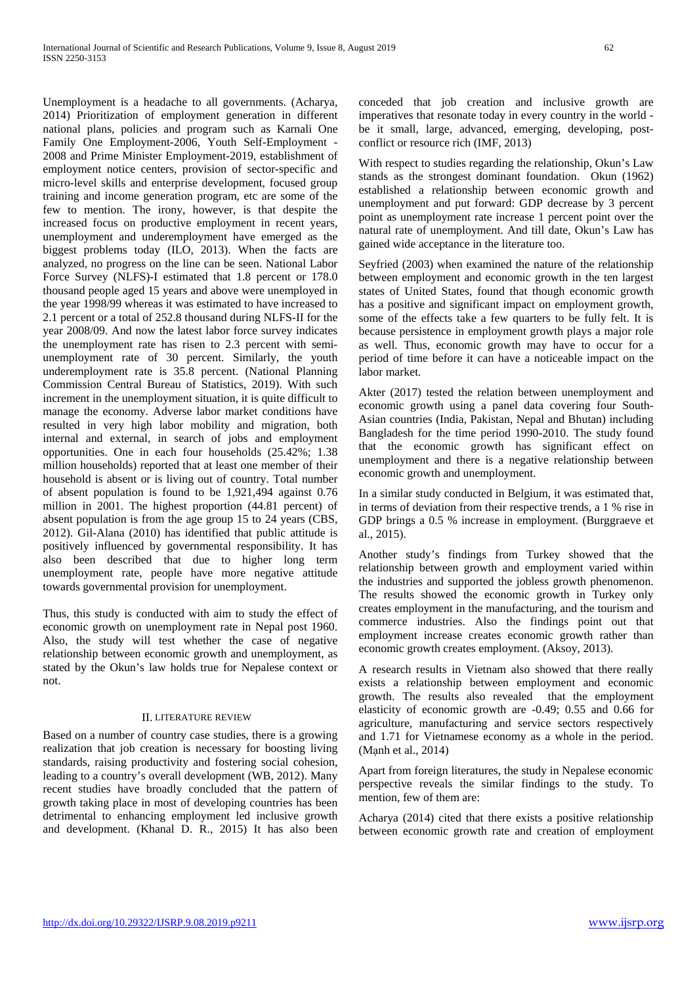Unemployment is a headache to all governments. (Acharya, 2014) Prioritization of employment generation in different national plans, policies and program such as Karnali One Family One Employment-2006, Youth Self-Employment - 2008 and Prime Minister Employment-2019, establishment of employment notice centers, provision of sector-specific and micro-level skills and enterprise development, focused group training and income generation program, etc are some of the few to mention. The irony, however, is that despite the increased focus on productive employment in recent years, unemployment and underemployment have emerged as the biggest problems today (ILO, 2013). When the facts are analyzed, no progress on the line can be seen. National Labor Force Survey (NLFS)-I estimated that 1.8 percent or 178.0 thousand people aged 15 years and above were unemployed in the year 1998/99 whereas it was estimated to have increased to 2.1 percent or a total of 252.8 thousand during NLFS-II for the year 2008/09. And now the latest labor force survey indicates the unemployment rate has risen to 2.3 percent with semiunemployment rate of 30 percent. Similarly, the youth underemployment rate is 35.8 percent. (National Planning Commission Central Bureau of Statistics, 2019). With such increment in the unemployment situation, it is quite difficult to manage the economy. Adverse labor market conditions have resulted in very high labor mobility and migration, both internal and external, in search of jobs and employment opportunities. One in each four households (25.42%; 1.38 million households) reported that at least one member of their household is absent or is living out of country. Total number of absent population is found to be 1,921,494 against 0.76 million in 2001. The highest proportion (44.81 percent) of absent population is from the age group 15 to 24 years (CBS, 2012). Gil-Alana (2010) has identified that public attitude is positively influenced by governmental responsibility. It has also been described that due to higher long term unemployment rate, people have more negative attitude towards governmental provision for unemployment.

Thus, this study is conducted with aim to study the effect of economic growth on unemployment rate in Nepal post 1960. Also, the study will test whether the case of negative relationship between economic growth and unemployment, as stated by the Okun's law holds true for Nepalese context or not.

# II. LITERATURE REVIEW

Based on a number of country case studies, there is a growing realization that job creation is necessary for boosting living standards, raising productivity and fostering social cohesion, leading to a country's overall development (WB, 2012). Many recent studies have broadly concluded that the pattern of growth taking place in most of developing countries has been detrimental to enhancing employment led inclusive growth and development. (Khanal D. R., 2015) It has also been

conceded that job creation and inclusive growth are imperatives that resonate today in every country in the world be it small, large, advanced, emerging, developing, postconflict or resource rich (IMF, 2013)

With respect to studies regarding the relationship, Okun's Law stands as the strongest dominant foundation. Okun (1962) established a relationship between economic growth and unemployment and put forward: GDP decrease by 3 percent point as unemployment rate increase 1 percent point over the natural rate of unemployment. And till date, Okun's Law has gained wide acceptance in the literature too.

Seyfried (2003) when examined the nature of the relationship between employment and economic growth in the ten largest states of United States, found that though economic growth has a positive and significant impact on employment growth, some of the effects take a few quarters to be fully felt. It is because persistence in employment growth plays a major role as well. Thus, economic growth may have to occur for a period of time before it can have a noticeable impact on the labor market.

Akter (2017) tested the relation between unemployment and economic growth using a panel data covering four South-Asian countries (India, Pakistan, Nepal and Bhutan) including Bangladesh for the time period 1990-2010. The study found that the economic growth has significant effect on unemployment and there is a negative relationship between economic growth and unemployment.

In a similar study conducted in Belgium, it was estimated that, in terms of deviation from their respective trends, a 1 % rise in GDP brings a 0.5 % increase in employment. (Burggraeve et al., 2015).

Another study's findings from Turkey showed that the relationship between growth and employment varied within the industries and supported the jobless growth phenomenon. The results showed the economic growth in Turkey only creates employment in the manufacturing, and the tourism and commerce industries. Also the findings point out that employment increase creates economic growth rather than economic growth creates employment. (Aksoy, 2013).

A research results in Vietnam also showed that there really exists a relationship between employment and economic growth. The results also revealed that the employment elasticity of economic growth are -0.49; 0.55 and 0.66 for agriculture, manufacturing and service sectors respectively and 1.71 for Vietnamese economy as a whole in the period. (Mạnh et al., 2014)

Apart from foreign literatures, the study in Nepalese economic perspective reveals the similar findings to the study. To mention, few of them are:

Acharya (2014) cited that there exists a positive relationship between economic growth rate and creation of employment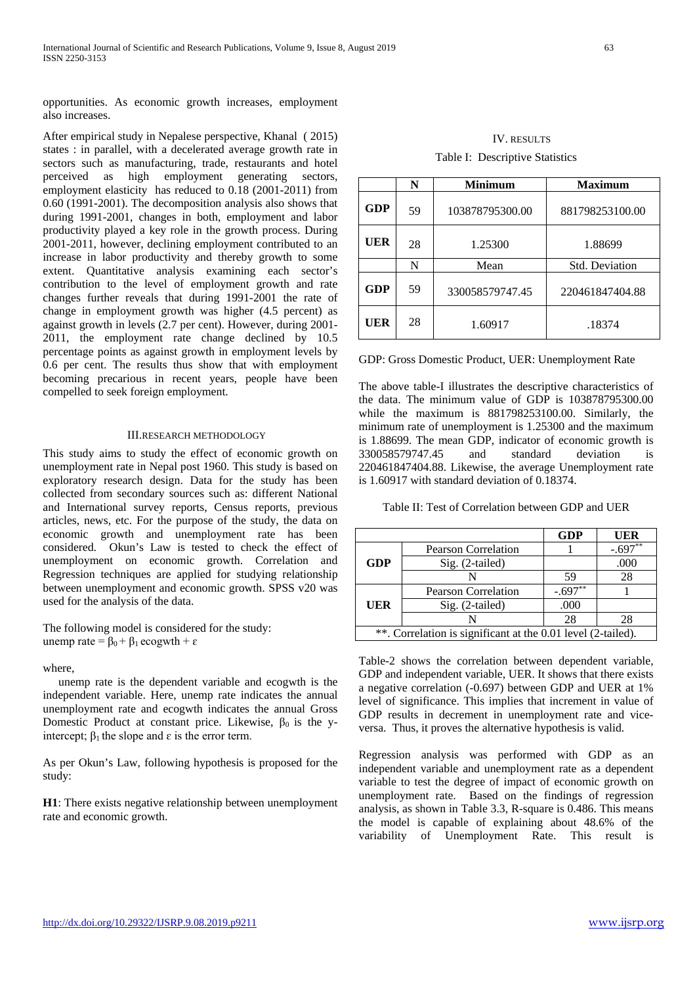opportunities. As economic growth increases, employment also increases.

After empirical study in Nepalese perspective, Khanal ( 2015) states : in parallel, with a decelerated average growth rate in sectors such as manufacturing, trade, restaurants and hotel perceived as high employment generating sectors, employment elasticity has reduced to 0.18 (2001-2011) from 0.60 (1991-2001). The decomposition analysis also shows that during 1991-2001, changes in both, employment and labor productivity played a key role in the growth process. During 2001-2011, however, declining employment contributed to an increase in labor productivity and thereby growth to some extent. Quantitative analysis examining each sector's contribution to the level of employment growth and rate changes further reveals that during 1991-2001 the rate of change in employment growth was higher (4.5 percent) as against growth in levels (2.7 per cent). However, during 2001- 2011, the employment rate change declined by 10.5 percentage points as against growth in employment levels by 0.6 per cent. The results thus show that with employment becoming precarious in recent years, people have been compelled to seek foreign employment.

#### III.RESEARCH METHODOLOGY

This study aims to study the effect of economic growth on unemployment rate in Nepal post 1960. This study is based on exploratory research design. Data for the study has been collected from secondary sources such as: different National and International survey reports, Census reports, previous articles, news, etc. For the purpose of the study, the data on economic growth and unemployment rate has been considered. Okun's Law is tested to check the effect of unemployment on economic growth. Correlation and Regression techniques are applied for studying relationship between unemployment and economic growth. SPSS v20 was used for the analysis of the data.

The following model is considered for the study: unemp rate =  $β_0 + β_1$  ecogwth + ε

where,

unemp rate is the dependent variable and ecogwth is the independent variable. Here, unemp rate indicates the annual unemployment rate and ecogwth indicates the annual Gross Domestic Product at constant price. Likewise,  $\beta_0$  is the yintercept;  $β_1$  the slope and  $ε$  is the error term.

As per Okun's Law, following hypothesis is proposed for the study:

**H1**: There exists negative relationship between unemployment rate and economic growth.

| <b>IV. RESULTS</b>              |
|---------------------------------|
| Table I: Descriptive Statistics |

|            | N  | <b>Minimum</b>  | <b>Maximum</b>        |  |  |  |
|------------|----|-----------------|-----------------------|--|--|--|
| <b>GDP</b> | 59 | 103878795300.00 | 881798253100.00       |  |  |  |
| UER        | 28 | 1.25300         | 1.88699               |  |  |  |
|            | N  | Mean            | <b>Std. Deviation</b> |  |  |  |
| GDP        | 59 | 330058579747.45 | 220461847404.88       |  |  |  |
| UER        | 28 | 1.60917         | .18374                |  |  |  |

GDP: Gross Domestic Product, UER: Unemployment Rate

The above table-I illustrates the descriptive characteristics of the data. The minimum value of GDP is 103878795300.00 while the maximum is 881798253100.00. Similarly, the minimum rate of unemployment is 1.25300 and the maximum is 1.88699. The mean GDP, indicator of economic growth is 330058579747.45 and standard deviation is 220461847404.88. Likewise, the average Unemployment rate is 1.60917 with standard deviation of 0.18374.

| Table II: Test of Correlation between GDP and UER |
|---------------------------------------------------|
|---------------------------------------------------|

|                                                              |                            | <b>GDP</b> | <b>UER</b> |  |
|--------------------------------------------------------------|----------------------------|------------|------------|--|
|                                                              | <b>Pearson Correlation</b> |            | $-.697**$  |  |
| <b>GDP</b>                                                   | $Sig. (2-tailed)$          |            | .000       |  |
|                                                              |                            | 59         | 28         |  |
|                                                              | <b>Pearson Correlation</b> | -.697      |            |  |
| UER                                                          | $Sig. (2-tailed)$          | .000       |            |  |
|                                                              |                            | 28         | 28         |  |
| **. Correlation is significant at the 0.01 level (2-tailed). |                            |            |            |  |

Table-2 shows the correlation between dependent variable, GDP and independent variable, UER. It shows that there exists a negative correlation (-0.697) between GDP and UER at 1% level of significance. This implies that increment in value of GDP results in decrement in unemployment rate and viceversa. Thus, it proves the alternative hypothesis is valid.

Regression analysis was performed with GDP as an independent variable and unemployment rate as a dependent variable to test the degree of impact of economic growth on unemployment rate. Based on the findings of regression analysis, as shown in Table 3.3, R-square is 0.486. This means the model is capable of explaining about 48.6% of the variability of Unemployment Rate. This result is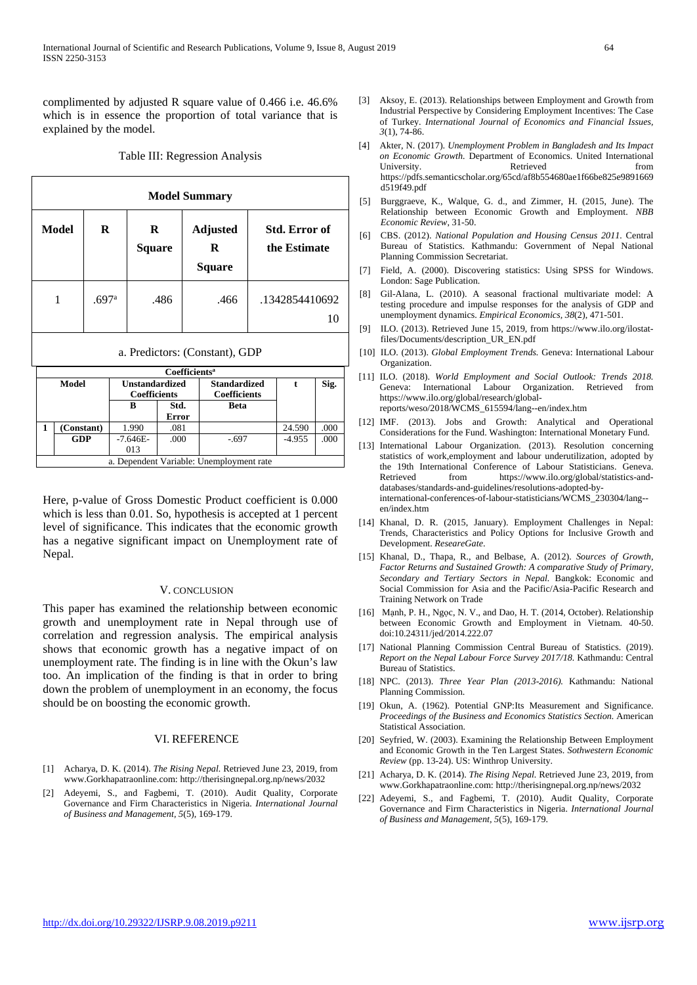complimented by adjusted R square value of 0.466 i.e. 46.6% which is in essence the proportion of total variance that is explained by the model.

#### Table III: Regression Analysis

| <b>Model Summary</b> |                                |       |                                       |             |              |                                            |                                          |                |                                      |      |
|----------------------|--------------------------------|-------|---------------------------------------|-------------|--------------|--------------------------------------------|------------------------------------------|----------------|--------------------------------------|------|
|                      | Model                          | R     |                                       | R<br>Square |              |                                            | <b>Adjusted</b><br>R<br>Square           |                | <b>Std. Error of</b><br>the Estimate |      |
|                      | 1                              | .697a |                                       |             | .486         |                                            | .466                                     | .1342854410692 |                                      | 10   |
|                      | a. Predictors: (Constant), GDP |       |                                       |             |              |                                            |                                          |                |                                      |      |
|                      | Coefficients <sup>a</sup>      |       |                                       |             |              |                                            |                                          |                |                                      |      |
| <b>Model</b>         |                                |       | <b>Unstandardized</b><br>Coefficients |             |              | <b>Standardized</b><br><b>Coefficients</b> |                                          | $\mathbf t$    | Sig.                                 |      |
|                      |                                |       |                                       | R           | Std.         |                                            | <b>Beta</b>                              |                |                                      |      |
|                      |                                |       |                                       |             | <b>Error</b> |                                            |                                          |                |                                      |      |
| 1                    | (Constant)                     |       |                                       | 1.990       | .081         |                                            |                                          |                | 24.590                               | .000 |
|                      | <b>GDP</b>                     |       |                                       | $-7.646E-$  | .000         |                                            | $-.697$                                  |                | -4.955                               | .000 |
|                      |                                |       |                                       | 013         |              |                                            |                                          |                |                                      |      |
|                      |                                |       |                                       |             |              |                                            | a. Dependent Variable: Unemployment rate |                |                                      |      |

Here, p-value of Gross Domestic Product coefficient is 0.000 which is less than 0.01. So, hypothesis is accepted at 1 percent level of significance. This indicates that the economic growth has a negative significant impact on Unemployment rate of Nepal.

#### V. CONCLUSION

This paper has examined the relationship between economic growth and unemployment rate in Nepal through use of correlation and regression analysis. The empirical analysis shows that economic growth has a negative impact of on unemployment rate. The finding is in line with the Okun's law too. An implication of the finding is that in order to bring down the problem of unemployment in an economy, the focus should be on boosting the economic growth.

### VI. REFERENCE

- [1] Acharya, D. K. (2014). *The Rising Nepal.* Retrieved June 23, 2019, from www.Gorkhapatraonline.com: http://therisingnepal.org.np/news/2032
- Adeyemi, S., and Fagbemi, T. (2010). Audit Quality, Corporate Governance and Firm Characteristics in Nigeria. *International Journal of Business and Management, 5*(5), 169-179.
- [3] Aksoy, E. (2013). Relationships between Employment and Growth from Industrial Perspective by Considering Employment Incentives: The Case of Turkey. *International Journal of Economics and Financial Issues, 3*(1), 74-86.
- [4] Akter, N. (2017). *Unemployment Problem in Bangladesh and Its Impact on Economic Growth.* Department of Economics. United International University. Retrieved from https://pdfs.semanticscholar.org/65cd/af8b554680ae1f66be825e9891669 d519f49.pdf
- [5] Burggraeve, K., Walque, G. d., and Zimmer, H. (2015, June). The Relationship between Economic Growth and Employment. *NBB Economic Review*, 31-50.
- [6] CBS. (2012). *National Population and Housing Census 2011.* Central Bureau of Statistics. Kathmandu: Government of Nepal National Planning Commission Secretariat.
- [7] Field, A. (2000). Discovering statistics: Using SPSS for Windows. London: Sage Publication.
- [8] Gil-Alana, L. (2010). A seasonal fractional multivariate model: A testing procedure and impulse responses for the analysis of GDP and unemployment dynamics. *Empirical Economics, 38*(2), 471-501.
- [9] ILO. (2013). Retrieved June 15, 2019, from https://www.ilo.org/ilostatfiles/Documents/description\_UR\_EN.pdf
- [10] ILO. (2013). *Global Employment Trends.* Geneva: International Labour Organization.
- [11] ILO. (2018). *World Employment and Social Outlook: Trends 2018.* Geneva: International Labour Organization. Retrieved from https://www.ilo.org/global/research/globalreports/weso/2018/WCMS\_615594/lang--en/index.htm
- [12] IMF. (2013). Jobs and Growth: Analytical and Operational Considerations for the Fund. Washington: International Monetary Fund.
- [13] International Labour Organization. (2013). Resolution concerning statistics of work,employment and labour underutilization, adopted by the 19th International Conference of Labour Statisticians. Geneva. Retrieved from https://www.ilo.org/global/statistics-anddatabases/standards-and-guidelines/resolutions-adopted-byinternational-conferences-of-labour-statisticians/WCMS\_230304/lang- en/index.htm
- [14] Khanal, D. R. (2015, January). Employment Challenges in Nepal: Trends, Characteristics and Policy Options for Inclusive Growth and Development. *ReseareGate*.
- [15] Khanal, D., Thapa, R., and Belbase, A. (2012). *Sources of Growth, Factor Returns and Sustained Growth: A comparative Study of Primary, Secondary and Tertiary Sectors in Nepal.* Bangkok: Economic and Social Commission for Asia and the Pacific/Asia-Pacific Research and Training Network on Trade
- [16] Mạnh, P. H., Ngọc, N. V., and Dao, H. T. (2014, October). Relationship between Economic Growth and Employment in Vietnam. 40-50. doi:10.24311/jed/2014.222.07
- [17] National Planning Commission Central Bureau of Statistics. (2019). *Report on the Nepal Labour Force Survey 2017/18.* Kathmandu: Central Bureau of Statistics.
- [18] NPC. (2013). *Three Year Plan (2013-2016).* Kathmandu: National Planning Commission.
- [19] Okun, A. (1962). Potential GNP:Its Measurement and Significance. *Proceedings of the Business and Economics Statistics Section.* American Statistical Association.
- [20] Seyfried, W. (2003). Examining the Relationship Between Employment and Economic Growth in the Ten Largest States. *Sothwestern Economic Review* (pp. 13-24). US: Winthrop University.
- [21] Acharya, D. K. (2014). *The Rising Nepal.* Retrieved June 23, 2019, from www.Gorkhapatraonline.com: http://therisingnepal.org.np/news/2032
- [22] Adeyemi, S., and Fagbemi, T. (2010). Audit Quality, Corporate Governance and Firm Characteristics in Nigeria. *International Journal of Business and Management, 5*(5), 169-179.